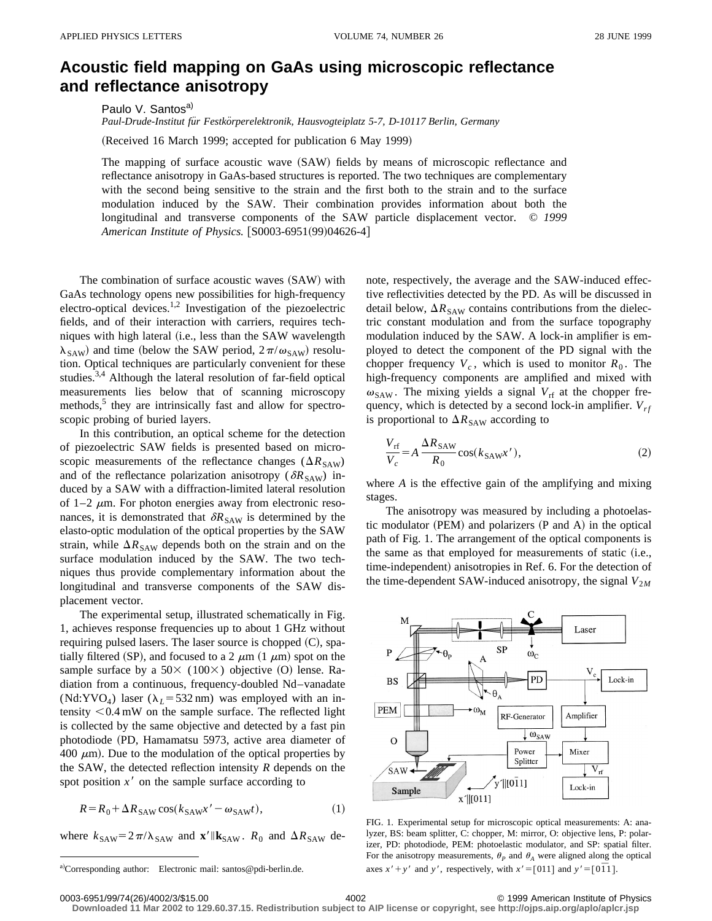## **Acoustic field mapping on GaAs using microscopic reflectance and reflectance anisotropy**

Paulo V. Santos<sup>a)</sup>

*Paul-Drude-Institut fu¨r Festko¨rperelektronik, Hausvogteiplatz 5-7, D-10117 Berlin, Germany*

(Received 16 March 1999; accepted for publication 6 May 1999)

The mapping of surface acoustic wave  $(SAW)$  fields by means of microscopic reflectance and reflectance anisotropy in GaAs-based structures is reported. The two techniques are complementary with the second being sensitive to the strain and the first both to the strain and to the surface modulation induced by the SAW. Their combination provides information about both the longitudinal and transverse components of the SAW particle displacement vector. © *1999 American Institute of Physics.* [S0003-6951(99)04626-4]

The combination of surface acoustic waves (SAW) with GaAs technology opens new possibilities for high-frequency electro-optical devices.<sup>1,2</sup> Investigation of the piezoelectric fields, and of their interaction with carriers, requires techniques with high lateral (i.e., less than the SAW wavelength  $\lambda_{SAW}$ ) and time (below the SAW period,  $2\pi/\omega_{SAW}$ ) resolution. Optical techniques are particularly convenient for these studies.3,4 Although the lateral resolution of far-field optical measurements lies below that of scanning microscopy methods,<sup>5</sup> they are intrinsically fast and allow for spectroscopic probing of buried layers.

In this contribution, an optical scheme for the detection of piezoelectric SAW fields is presented based on microscopic measurements of the reflectance changes ( $\Delta R_{\text{SAW}}$ ) and of the reflectance polarization anisotropy ( $\delta R_{SAW}$ ) induced by a SAW with a diffraction-limited lateral resolution of 1–2  $\mu$ m. For photon energies away from electronic resonances, it is demonstrated that  $\delta R_{SAW}$  is determined by the elasto-optic modulation of the optical properties by the SAW strain, while  $\Delta R_{SAW}$  depends both on the strain and on the surface modulation induced by the SAW. The two techniques thus provide complementary information about the longitudinal and transverse components of the SAW displacement vector.

The experimental setup, illustrated schematically in Fig. 1, achieves response frequencies up to about 1 GHz without requiring pulsed lasers. The laser source is chopped  $(C)$ , spatially filtered (SP), and focused to a 2  $\mu$ m (1  $\mu$ m) spot on the sample surface by a  $50 \times (100 \times)$  objective (O) lense. Radiation from a continuous, frequency-doubled Nd–vanadate (Nd:YVO<sub>4</sub>) laser ( $\lambda_L$ =532 nm) was employed with an intensity  $<$  0.4 mW on the sample surface. The reflected light is collected by the same objective and detected by a fast pin photodiode (PD, Hamamatsu 5973, active area diameter of 400  $\mu$ m). Due to the modulation of the optical properties by the SAW, the detected reflection intensity *R* depends on the spot position  $x<sup>3</sup>$  on the sample surface according to

$$
R = R_0 + \Delta R_{SAW} \cos(k_{SAW} x' - \omega_{SAW} t), \tag{1}
$$

where  $k_{SAW} = 2\pi/\lambda_{SAW}$  and  $\mathbf{x}'||\mathbf{k}_{SAW}$ .  $R_0$  and  $\Delta R_{SAW}$  de-

note, respectively, the average and the SAW-induced effective reflectivities detected by the PD. As will be discussed in detail below,  $\Delta R_{SAW}$  contains contributions from the dielectric constant modulation and from the surface topography modulation induced by the SAW. A lock-in amplifier is employed to detect the component of the PD signal with the chopper frequency  $V_c$ , which is used to monitor  $R_0$ . The high-frequency components are amplified and mixed with  $\omega_{\text{SAW}}$ . The mixing yields a signal  $V_{\text{rf}}$  at the chopper frequency, which is detected by a second lock-in amplifier.  $V_{rf}$ is proportional to  $\Delta R_{\text{SAW}}$  according to

$$
\frac{V_{\text{rf}}}{V_c} = A \frac{\Delta R_{\text{SAW}}}{R_0} \cos(k_{\text{SAW}} x'),\tag{2}
$$

where *A* is the effective gain of the amplifying and mixing stages.

The anisotropy was measured by including a photoelastic modulator  $(PEM)$  and polarizers  $(P \text{ and } A)$  in the optical path of Fig. 1. The arrangement of the optical components is the same as that employed for measurements of static  $(i.e.,$ time-independent) anisotropies in Ref. 6. For the detection of the time-dependent SAW-induced anisotropy, the signal  $V_{2M}$ 



FIG. 1. Experimental setup for microscopic optical measurements: A: analyzer, BS: beam splitter, C: chopper, M: mirror, O: objective lens, P: polarizer, PD: photodiode, PEM: photoelastic modulator, and SP: spatial filter. For the anisotropy measurements,  $\theta_P$  and  $\theta_A$  were aligned along the optical axes  $x' + y'$  and *y'*, respectively, with  $x' = \begin{bmatrix} 0 & 1 & 1 \end{bmatrix}$  and  $y' = \begin{bmatrix} 0 & \overline{1} & 1 \end{bmatrix}$ .

**Downloaded 11 Mar 2002 to 129.60.37.15. Redistribution subject to AIP license or copyright, see http://ojps.aip.org/aplo/aplcr.jsp**

a)Corresponding author: Electronic mail: santos@pdi-berlin.de.

<sup>0003-6951/99/74(26)/4002/3/\$15.00 © 1999</sup> American Institute of Physics 4002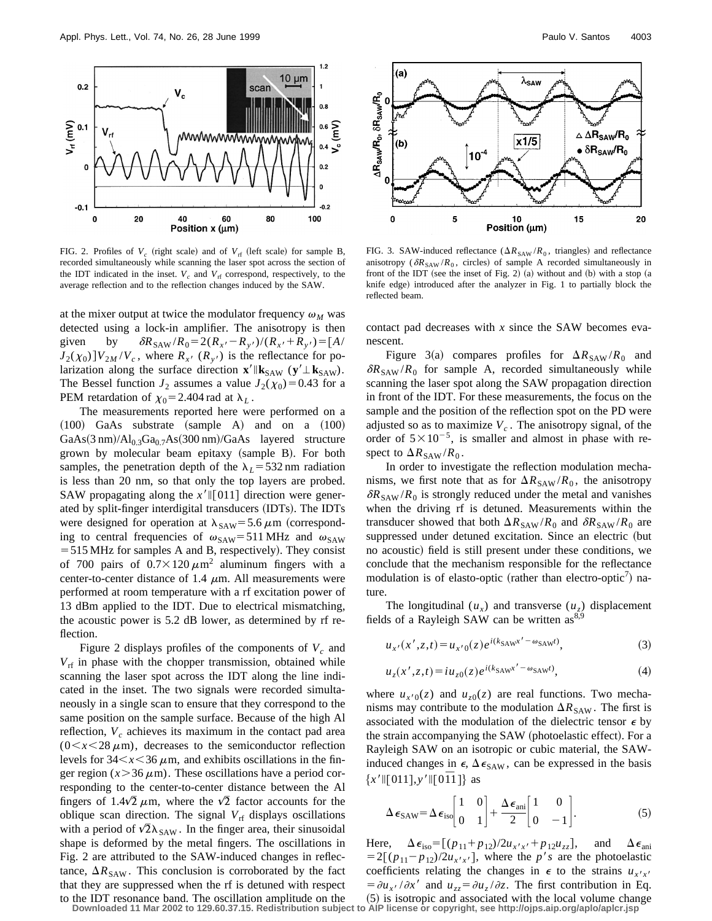

FIG. 2. Profiles of  $V_c$  (right scale) and of  $V_{rf}$  (left scale) for sample B, recorded simultaneously while scanning the laser spot across the section of the IDT indicated in the inset.  $V_c$  and  $V<sub>rf</sub>$  correspond, respectively, to the average reflection and to the reflection changes induced by the SAW.

at the mixer output at twice the modulator frequency  $\omega_M$  was detected using a lock-in amplifier. The anisotropy is then given by  $\delta R_{SAW} / R_0 = 2(R_{x'} - R_{y'}) / (R_{x'} + R_{y'}) = [A / A_0]$  $J_2(\chi_0)$   $]V_{2M}/V_c$ , where  $R_{x'}(R_{y'})$  is the reflectance for polarization along the surface direction  $\mathbf{x}' \parallel \mathbf{k}_{SAW}$  ( $\mathbf{y}' \perp \mathbf{k}_{SAW}$ ). The Bessel function  $J_2$  assumes a value  $J_2(\chi_0) = 0.43$  for a PEM retardation of  $\chi_0$ =2.404 rad at  $\lambda_L$ .

The measurements reported here were performed on a  $(100)$  GaAs substrate  $(sample A)$  and on a  $(100)$  $GaAs(3 nm)/Al<sub>0.3</sub>Ga<sub>0.7</sub>As(300 nm)/GaAs$  layered structure grown by molecular beam epitaxy (sample B). For both samples, the penetration depth of the  $\lambda_L$ =532 nm radiation is less than 20 nm, so that only the top layers are probed. SAW propagating along the  $x'$  [011] direction were generated by split-finger interdigital transducers (IDTs). The IDTs were designed for operation at  $\lambda_{\text{SAW}}$ = 5.6  $\mu$ m (corresponding to central frequencies of  $\omega_{\text{SAW}}$ = 511 MHz and  $\omega_{\text{SAW}}$  $=$  515 MHz for samples A and B, respectively). They consist of 700 pairs of  $0.7 \times 120 \mu m^2$  aluminum fingers with a center-to-center distance of 1.4  $\mu$ m. All measurements were performed at room temperature with a rf excitation power of 13 dBm applied to the IDT. Due to electrical mismatching, the acoustic power is 5.2 dB lower, as determined by rf reflection.

Figure 2 displays profiles of the components of  $V_c$  and *V*rf in phase with the chopper transmission, obtained while scanning the laser spot across the IDT along the line indicated in the inset. The two signals were recorded simultaneously in a single scan to ensure that they correspond to the same position on the sample surface. Because of the high Al reflection,  $V_c$  achieves its maximum in the contact pad area  $(0 \lt x \lt 28 \mu m)$ , decreases to the semiconductor reflection levels for  $34 < x < 36 \mu$ m, and exhibits oscillations in the finger region  $(x > 36 \mu m)$ . These oscillations have a period corresponding to the center-to-center distance between the Al fingers of 1.4 $\sqrt{2}$   $\mu$ m, where the  $\sqrt{2}$  factor accounts for the oblique scan direction. The signal  $V_{\text{rf}}$  displays oscillations with a period of  $\sqrt{2}\lambda_{SAW}$ . In the finger area, their sinusoidal shape is deformed by the metal fingers. The oscillations in Fig. 2 are attributed to the SAW-induced changes in reflectance,  $\Delta R_{SAW}$ . This conclusion is corroborated by the fact that they are suppressed when the rf is detuned with respect to the IDT resonance band. The oscillation amplitude on the



FIG. 3. SAW-induced reflectance ( $\Delta R_{\text{SAW}}/R_0$ , triangles) and reflectance anisotropy ( $\delta R_{SAW} / R_0$ , circles) of sample A recorded simultaneously in front of the IDT (see the inset of Fig. 2) (a) without and (b) with a stop  $(a)$ knife edge) introduced after the analyzer in Fig. 1 to partially block the reflected beam.

contact pad decreases with *x* since the SAW becomes evanescent.

Figure 3(a) compares profiles for  $\Delta R_{\text{SAW}}/R_0$  and  $\delta R_{\text{SAW}}/R_0$  for sample A, recorded simultaneously while scanning the laser spot along the SAW propagation direction in front of the IDT. For these measurements, the focus on the sample and the position of the reflection spot on the PD were adjusted so as to maximize  $V_c$ . The anisotropy signal, of the order of  $5\times10^{-5}$ , is smaller and almost in phase with respect to  $\Delta R_{\text{SAW}}/R_0$ .

In order to investigate the reflection modulation mechanisms, we first note that as for  $\Delta R_{\text{SAW}}/R_0$ , the anisotropy  $\delta R_{\text{SAW}}/R_0$  is strongly reduced under the metal and vanishes when the driving rf is detuned. Measurements within the transducer showed that both  $\Delta R_{\text{SAW}}/R_0$  and  $\delta R_{\text{SAW}}/R_0$  are suppressed under detuned excitation. Since an electric (but no acoustic) field is still present under these conditions, we conclude that the mechanism responsible for the reflectance modulation is of elasto-optic (rather than electro-optic<sup>7</sup>) nature.

The longitudinal  $(u_x)$  and transverse  $(u_z)$  displacement fields of a Rayleigh SAW can be written as $8^{8,9}$ 

$$
u_{x'}(x',z,t) = u_{x'0}(z)e^{i(k_{\text{SAW}}x'-\omega_{\text{SAW}}t)},
$$
\n(3)

$$
u_z(x',z,t) = i u_{z0}(z) e^{i(k_{\text{SAW}}x' - \omega_{\text{SAW}}t)},
$$
\n(4)

where  $u_{x'0}(z)$  and  $u_{z0}(z)$  are real functions. Two mechanisms may contribute to the modulation  $\Delta R_{\text{SAW}}$ . The first is associated with the modulation of the dielectric tensor  $\epsilon$  by the strain accompanying the SAW (photoelastic effect). For a Rayleigh SAW on an isotropic or cubic material, the SAWinduced changes in  $\epsilon$ ,  $\Delta \epsilon_{SAW}$ , can be expressed in the basis  ${x' \parallel [011], y' \parallel [011]}$  as

$$
\Delta \epsilon_{\text{SAW}} = \Delta \epsilon_{\text{iso}} \begin{bmatrix} 1 & 0 \\ 0 & 1 \end{bmatrix} + \frac{\Delta \epsilon_{\text{ani}}}{2} \begin{bmatrix} 1 & 0 \\ 0 & -1 \end{bmatrix} . \tag{5}
$$

Here,  $\Delta \epsilon_{\text{iso}} = [(p_{11} + p_{12})/2u_{x'x'} + p_{12}u_{zz}],$  and  $\Delta \epsilon_{\text{ani}}$  $=2[(p_{11}-p_{12})/2u_{x'x'}]$ , where the *p's* are the photoelastic coefficients relating the changes in  $\epsilon$  to the strains  $u_{x'x'}$  $=\partial u_{x}$ ,  $/\partial x'$  and  $u_{zz} = \partial u_z / \partial z$ . The first contribution in Eq.  $(5)$  is isotropic and associated with the local volume change **Downloaded 11 Mar 2002 to 129.60.37.15. Redistribution subject to AIP license or copyright, see http://ojps.aip.org/aplo/aplcr.jsp**